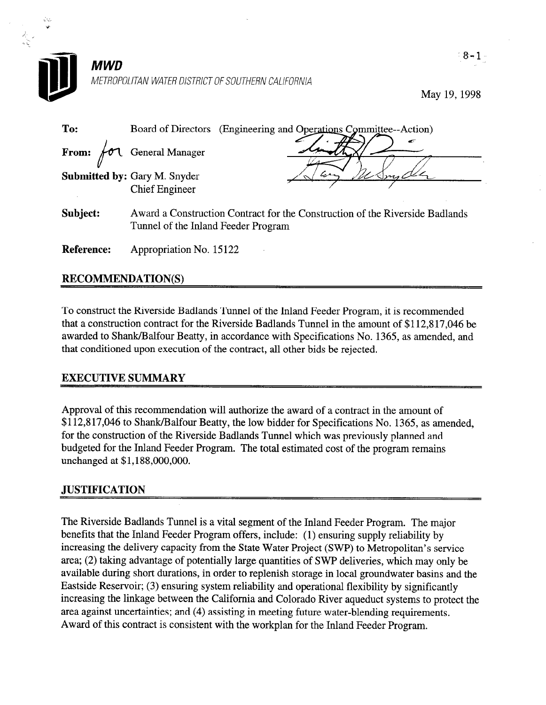

May 19,199s

| To:        | Board of Directors (Engineering and Operations Committee--Action)                                                   |  |  |
|------------|---------------------------------------------------------------------------------------------------------------------|--|--|
|            | æ<br>From: fol General Manager                                                                                      |  |  |
|            | <b>Submitted by: Gary M. Snyder</b><br><b>Chief Engineer</b>                                                        |  |  |
| Subject:   | Award a Construction Contract for the Construction of the Riverside Badlands<br>Tunnel of the Inland Feeder Program |  |  |
| Reference: | Appropriation No. 15122                                                                                             |  |  |

## RECOMMENDATION(S)

To construct the Riverside Badlands Tunnel of the Inland Feeder Program, it is recommended that a construction contract for the Riverside Badlands Tunnel in the amount of \$112,8 17,046 be awarded to Shank/Balfour Beatty, in accordance with Specifications No. 1365, as amended, and that conditioned upon execution of the contract, all other bids be rejected.

## EXECUTIVE SUMMARY

Approval of this recommendation will authorize the award of a contract in the amount of \$112,817,046 to Shank/Balfour Beatty, the low bidder for Specifications No. 1365, as amended, for the construction of the Riverside Badlands Tunnel which was previously planned and budgeted for the Inland Feeder Program. The total estimated cost of the program remains unchanged at \$1,188,000,000.

## **JUSTIFICATION**

The Riverside Badlands Tunnel is a vital segment of the Inland Feeder Program. The major benefits that the Inland Feeder Program offers, include: (1) ensuring supply reliability by increasing the delivery capacity from the State Water Project (SWP) to Metropolitan's service area; (2) taking advantage of potentially large quantities of SWP deliveries, which may only be available during short durations, in order to replenish storage in local groundwater basins and the Eastside Reservoir; (3) ensuring system reliability and operational flexibility by significantly increasing the linkage between the California and Colorado River aqueduct systems to protect the are alrea and the manufacture water-blending in meeting future water-blending future water-blending requirement Award of the this contract is consistent with the with the with the with the Indian for the Inland Feeder Program.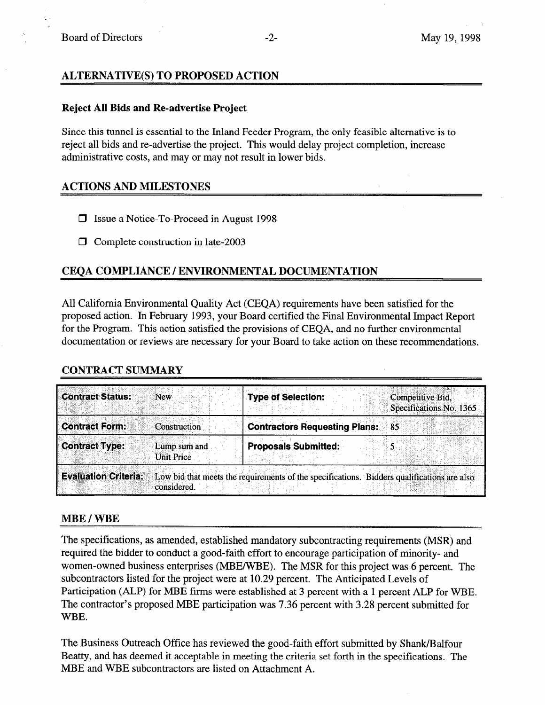## ALTERNATIVE(S) TO PROPOSED ACTION

#### Reject All Bids and Re-advertise Project

Since this tunnel is essential to the Inland Feeder Program, the only feasible alternative is to reject all bids and re-advertise the project. This would delay project completion, increase administrative costs, and may or may not result in lower bids.

### ACTIONS AND MILESTONES

- □ Issue a Notice-To-Proceed in August 1998
- $\Box$  Complete construction in late-2003

## CEOA COMPLIANCE / ENVIRONMENTAL DOCUMENTATION

All California Environmental Quality Act (CEQA) requirements have been satisfied for the proposed action. In February 1993, your Board certified the Final Environmental Impact Report for the Program. This action satisfied the provisions of CEQA, and no further environmental documentation or reviews are necessary for your Board to take action on these recommendations.

### CONTRACT SUMMARY

| <b>Contract Status:</b>     | New                        | <b>Type of Selection:</b>                                                                   | Competitive Bid,<br>Specifications No. 1365 |
|-----------------------------|----------------------------|---------------------------------------------------------------------------------------------|---------------------------------------------|
| <b>Contract Form:</b>       | <b>Construction</b>        | <b>Contractors Requesting Plans: 85</b>                                                     |                                             |
| <b>Contract Type:</b>       | Lump sum and<br>Unit Price | <b>Proposals Submitted:</b>                                                                 |                                             |
| <b>Evaluation Criteria:</b> | considered.                | Low bid that meets the requirements of the specifications. Bidders qualifications are also: |                                             |

### MBE / WBE

The specifications, as amended, established mandatory subcontracting requirements (MSR) and required the bidder to conduct a good-faith effort to encourage participation of minority- and women-owned business enterprises (MBE/WBE). The MSR for this project was 6 percent. The subcontractors listed for the project were at 10.29 percent. The Anticipated Levels of Participation (ALP) for MBE firms were established at 3 percent with a 1 percent ALP for WBE. The contractor's proposed MBE participation was 7.36 percent with 3.28 percent submitted for WBE.

The Business Outreach Office has reviewed the good-faith effort submitted by Shank/Balfour Beatty, and has deemed it acceptable in meeting the criteria set forth in the specifications. The MBE and WBE subcontractors are listed on Attachment A.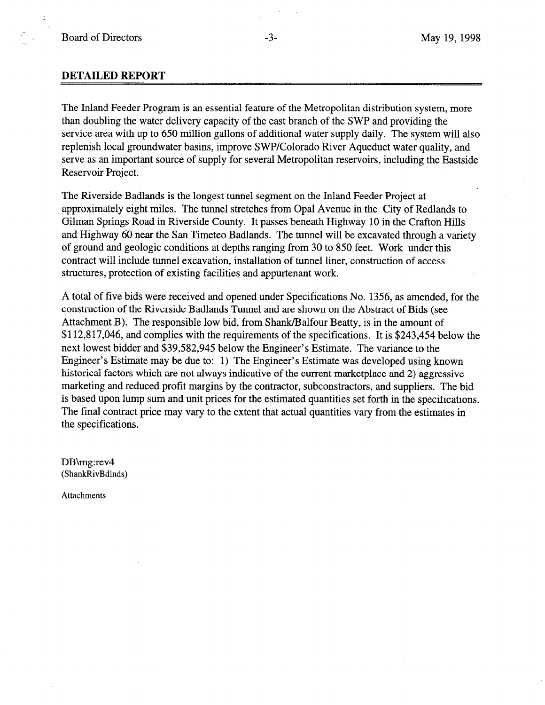,.e

### DETAILED REPORT

The Inland Feeder Program is an essential feature of the Metropolitan distribution system, more than doubling the water delivery capacity of the east branch of the SWP and providing the service area with up to 650 million gallons of additional water supply daily. The system will also replenish local groundwater basins, improve SWP/Colorado River Aqueduct water quality, and serve as an important source of supply for several Metropolitan reservoirs, including the Eastside Reservoir Project.

The Riverside Badlands is the longest tunnel segment on the Inland Feeder Project at approximately eight miles. The tunnel stretches from Opal Avenue in the City of Redlands to Gilman Springs Road in Riverside County. It passes beneath Highway 10 in the Crafton Hills and Highway 60 near the San Timeteo Badlands. The tunnel will be excavated through a variety of ground and geologic conditions at depths ranging from 30 to 850 feet. Work under this contract will include tunnel excavation, installation of tunnel liner, construction of access structures, protection of existing facilities and appurtenant work.

A total of five bids were received and opened under Specifications No. 1356, as amended, for the construction of the Riverside Badlands Tunnel and are shown on the Abstract of Bids (see Attachment B). The responsible low bid, from Shank/Balfour Beatty, is in the amount of \$112,817,046, and complies with the requirements of the specifications. It is \$243,454 below the next lowest bidder and \$39,582,945 below the Engineer's Estimate. The variance to the Engineer's Estimate may be due to: 1) The Engineer's Estimate was developed using known historical factors which are not always indicative of the current marketplace and 2) aggressive marketing and reduced profit margins by the contractor, subconstractors, and suppliers. The bid is based upon lump sum and unit prices for the estimated quantities set forth in the specifications. The final contract price may vary to the extent that actual quantities vary from the estimates in the specifications.

DB\mg:rev4 (ShankRivBdlnds)

Attachments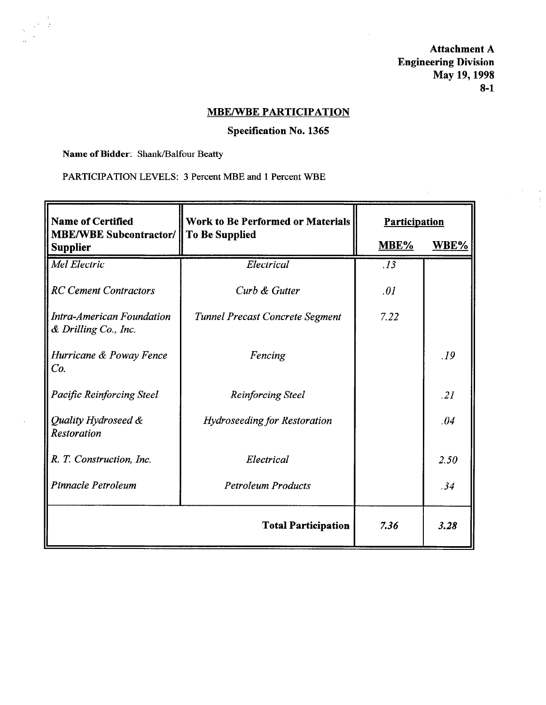Attachment A Engineering Division May 19, 1998 8-l

 $\Delta$ 

# MBE/WBE PARTICIPATION

## Specification No. 1365

Name of Bidder: Shank/Balfour Beatty

PARTICIPATION LEVELS: 3 Percent MBE and 1 Percent WBE

| <b>Name of Certified</b>                                        | <b>Work to Be Performed or Materials</b> | Participation |      |
|-----------------------------------------------------------------|------------------------------------------|---------------|------|
| <b>MBE/WBE Subcontractor/ To Be Supplied</b><br><b>Supplier</b> |                                          | MBE%          | WBE% |
| Mel Electric                                                    | Electrical                               | .13           |      |
| <b>RC Cement Contractors</b>                                    | Curb & Gutter                            | .01           |      |
| Intra-American Foundation<br>& Drilling Co., Inc.               | <b>Tunnel Precast Concrete Segment</b>   | 7.22          |      |
| Hurricane & Poway Fence<br>Co.                                  | Fencing                                  |               | .19  |
| <b>Pacific Reinforcing Steel</b>                                | <b>Reinforcing Steel</b>                 |               | .21  |
| Quality Hydroseed &<br><b>Restoration</b>                       | <b>Hydroseeding for Restoration</b>      |               | .04  |
| R. T. Construction, Inc.                                        | Electrical                               |               | 2.50 |
| Pinnacle Petroleum                                              | <b>Petroleum Products</b>                |               | .34  |
|                                                                 | <b>Total Participation</b>               | 7.36          | 3.28 |